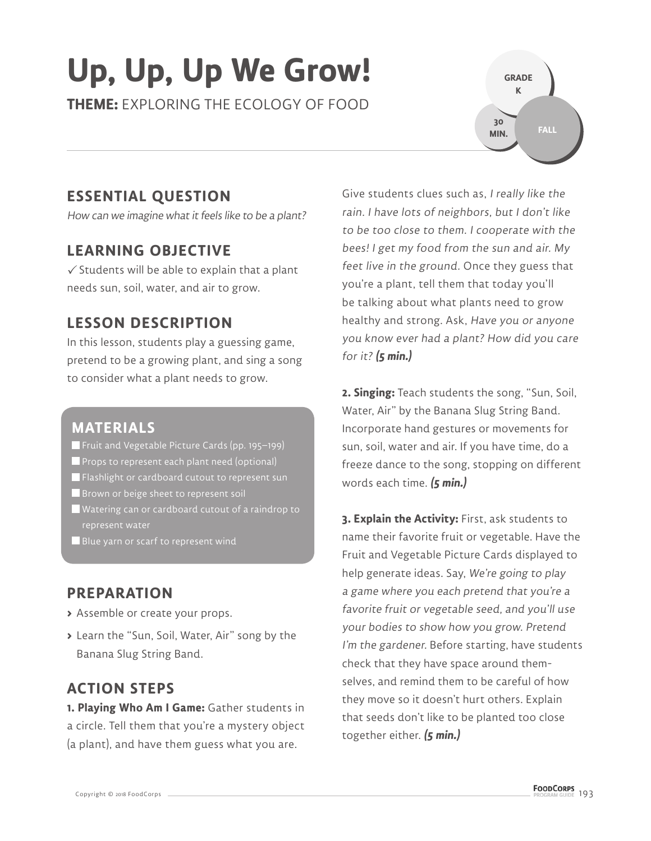# **Up, Up, Up We Grow!**

**THEME:** EXPLORING THE ECOLOGY OF FOOD

**GRADE K FALL 30 MIN.**

### **ESSENTIAL QUESTION**

How can we imagine what it feels like to be a plant?

### **LEARNING OBJECTIVE**

 $\checkmark$  Students will be able to explain that a plant needs sun, soil, water, and air to grow.

### **LESSON DESCRIPTION**

In this lesson, students play a guessing game, pretend to be a growing plant, and sing a song to consider what a plant needs to grow.

#### **MATERIALS**

- Fruit and Vegetable Picture Cards (pp. 195–199)
- **Props to represent each plant need (optional)**
- Flashlight or cardboard cutout to represent sun
- **Brown or beige sheet to represent soil**
- Watering can or cardboard cutout of a raindrop to
- **Blue yarn or scarf to represent wind**

#### **PREPARATION**

- **>** Assemble or create your props.
- **>** Learn the "Sun, Soil, Water, Air" song by the Banana Slug String Band.

### **ACTION STEPS**

**1. Playing Who Am I Game:** Gather students in a circle. Tell them that you're a mystery object (a plant), and have them guess what you are.

Give students clues such as, I really like the rain. I have lots of neighbors, but I don't like to be too close to them. I cooperate with the bees! I get my food from the sun and air. My feet live in the ground. Once they guess that you're a plant, tell them that today you'll be talking about what plants need to grow healthy and strong. Ask, Have you or anyone you know ever had a plant? How did you care for it? **(5 min.)**

**2. Singing:** Teach students the song, "Sun, Soil, Water, Air" by the Banana Slug String Band. Incorporate hand gestures or movements for sun, soil, water and air. If you have time, do a freeze dance to the song, stopping on different words each time. **(5 min.)**

**3. Explain the Activity:** First, ask students to name their favorite fruit or vegetable. Have the Fruit and Vegetable Picture Cards displayed to help generate ideas. Say, We're going to play a game where you each pretend that you're a favorite fruit or vegetable seed, and you'll use your bodies to show how you grow. Pretend I'm the gardener. Before starting, have students check that they have space around themselves, and remind them to be careful of how they move so it doesn't hurt others. Explain that seeds don't like to be planted too close together either. **(5 min.)**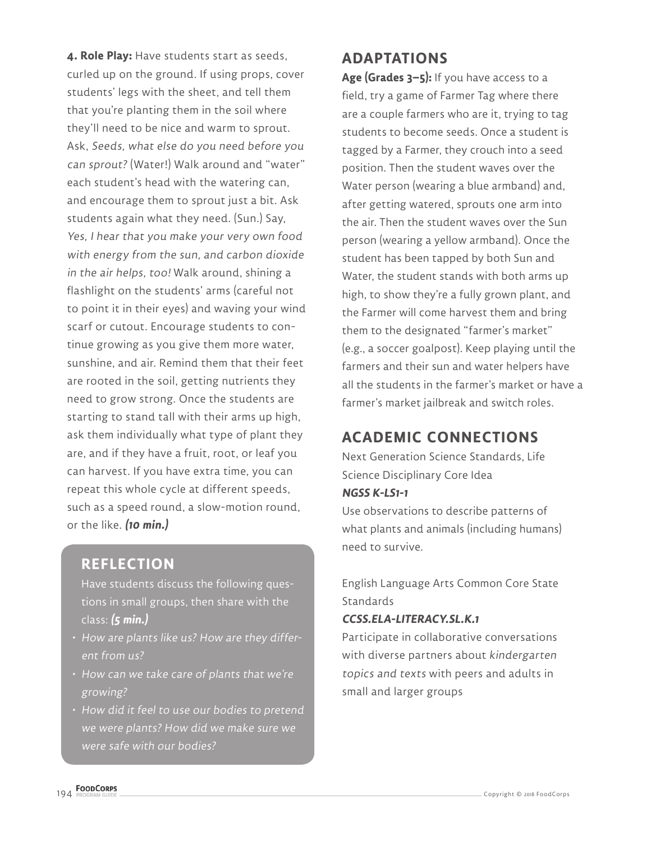**4. Role Play:** Have students start as seeds, curled up on the ground. If using props, cover students' legs with the sheet, and tell them that you're planting them in the soil where they'll need to be nice and warm to sprout. Ask, Seeds, what else do you need before you can sprout? (Water!) Walk around and "water" each student's head with the watering can, and encourage them to sprout just a bit. Ask students again what they need. (Sun.) Say, Yes, I hear that you make your very own food with energy from the sun, and carbon dioxide in the air helps, too! Walk around, shining a flashlight on the students' arms (careful not to point it in their eyes) and waving your wind scarf or cutout. Encourage students to continue growing as you give them more water, sunshine, and air. Remind them that their feet are rooted in the soil, getting nutrients they need to grow strong. Once the students are starting to stand tall with their arms up high, ask them individually what type of plant they are, and if they have a fruit, root, or leaf you can harvest. If you have extra time, you can repeat this whole cycle at different speeds, such as a speed round, a slow-motion round, or the like. **(10 min.)**

#### **REFLECTION**

Have students discuss the following questions in small groups, then share with the class: **(5 min.)**

- How are plants like us? How are they different from us?
- How can we take care of plants that we're growing?
- How did it feel to use our bodies to pretend we were plants? How did we make sure we were safe with our bodies?

#### **ADAPTATIONS**

**Age (Grades 3–5):** If you have access to a field, try a game of Farmer Tag where there are a couple farmers who are it, trying to tag students to become seeds. Once a student is tagged by a Farmer, they crouch into a seed position. Then the student waves over the Water person (wearing a blue armband) and, after getting watered, sprouts one arm into the air. Then the student waves over the Sun person (wearing a yellow armband). Once the student has been tapped by both Sun and Water, the student stands with both arms up high, to show they're a fully grown plant, and the Farmer will come harvest them and bring them to the designated "farmer's market" (e.g., a soccer goalpost). Keep playing until the farmers and their sun and water helpers have all the students in the farmer's market or have a farmer's market jailbreak and switch roles.

### **ACADEMIC CONNECTIONS**

Next Generation Science Standards, Life Science Disciplinary Core Idea **NGSS K-LS1-1**

Use observations to describe patterns of what plants and animals (including humans) need to survive.

English Language Arts Common Core State **Standards** 

#### **CCSS.ELA-LITERACY.SL.K.1**

Participate in collaborative conversations with diverse partners about kindergarten topics and texts with peers and adults in small and larger groups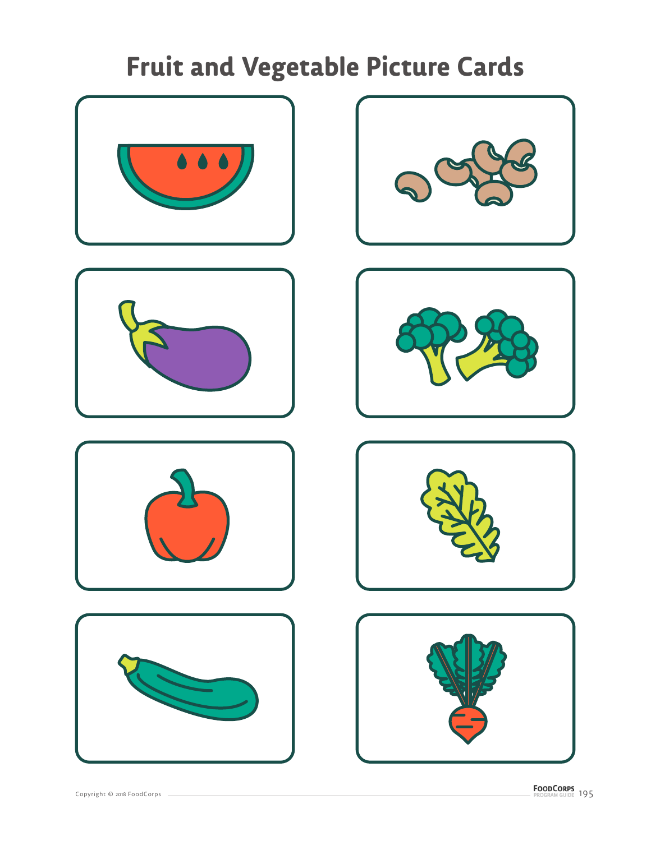













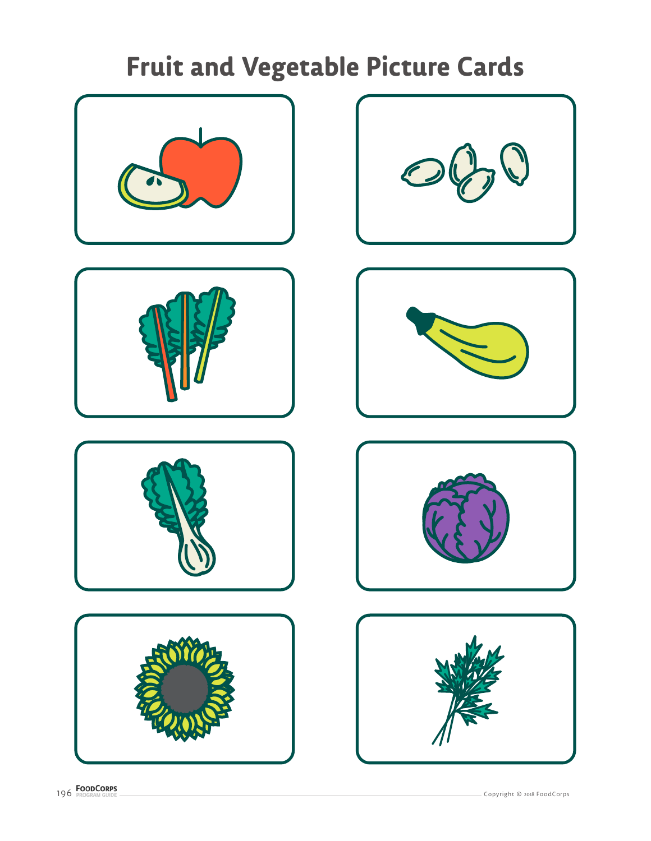













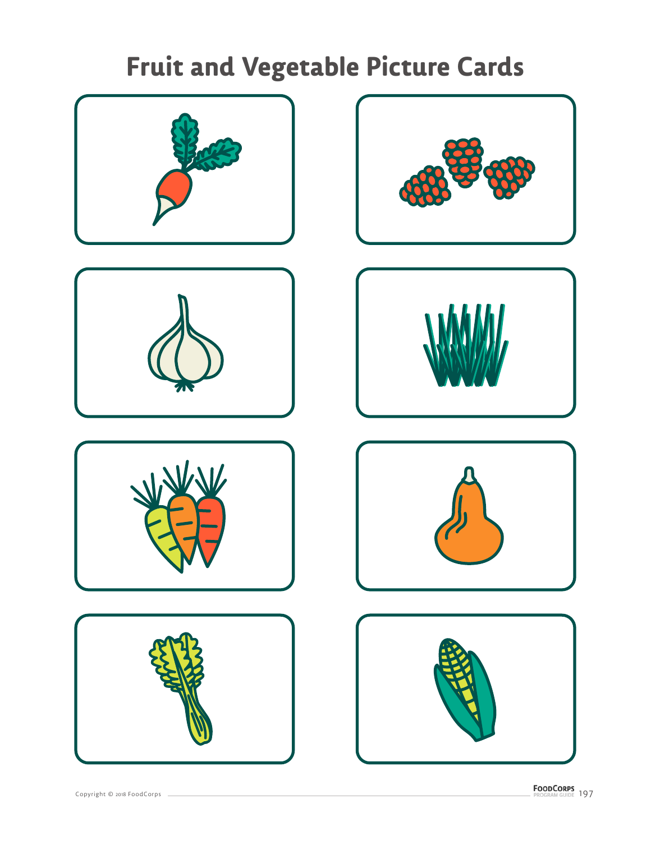













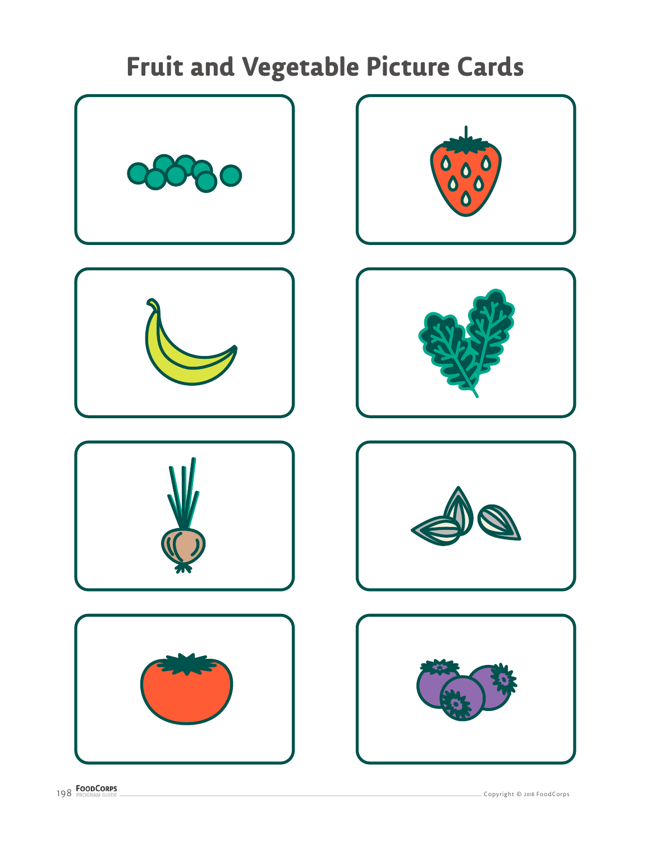